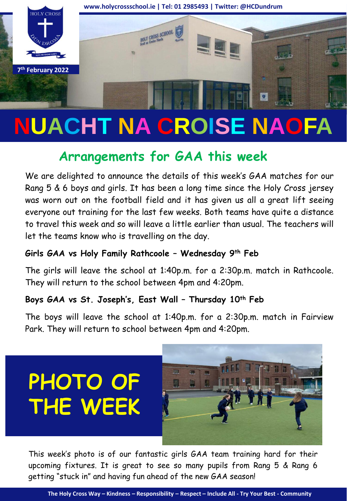

# **NUACHT NA CROISE NAOFA**

## **Arrangements for GAA this week**

We are delighted to announce the details of this week's GAA matches for our Rang 5 & 6 boys and girls. It has been a long time since the Holy Cross jersey was worn out on the football field and it has given us all a great lift seeing everyone out training for the last few weeks. Both teams have quite a distance to travel this week and so will leave a little earlier than usual. The teachers will let the teams know who is travelling on the day.

#### **Girls GAA vs Holy Family Rathcoole – Wednesday 9 th Feb**

The girls will leave the school at 1:40p.m. for a 2:30p.m. match in Rathcoole. They will return to the school between 4pm and 4:20pm.

#### **Boys GAA vs St. Joseph's, East Wall – Thursday 10th Feb**

The boys will leave the school at 1:40p.m. for a 2:30p.m. match in Fairview Park. They will return to school between 4pm and 4:20pm.





This week's photo is of our fantastic girls GAA team training hard for their upcoming fixtures. It is great to see so many pupils from Rang 5 & Rang 6 getting "stuck in" and having fun ahead of the new GAA season!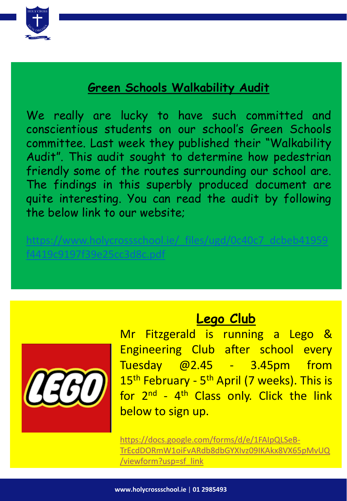

## **Green Schools Walkability Audit**

We really are lucky to have such committed and conscientious students on our school's Green Schools committee. Last week they published their "Walkability Audit". This audit sought to determine how pedestrian friendly some of the routes surrounding our school are. The findings in this superbly produced document are quite interesting. You can read the audit by following the below link to our website;

[https://www.holycrossschool.ie/\\_files/ugd/0c40c7\\_dcbeb41959](https://www.holycrossschool.ie/_files/ugd/0c40c7_dcbeb41959f4419c9197f39e25cc3d8c.pdf) f4419c9197f39e25cc3d8c.pdf



## **Lego Club**

Mr Fitzgerald is running a Lego & Engineering Club after school every Tuesday @2.45 - 3.45pm from 15<sup>th</sup> February - 5<sup>th</sup> April (7 weeks). This is for 2<sup>nd</sup> - 4<sup>th</sup> Class only. Click the link below to sign up.

https://docs.google.com/forms/d/e/1FAIpQLSeB-[TrEcdDORmW1oiFvARdb8dbGYXIvz09IKAkx8VX65pMvUQ](https://docs.google.com/forms/d/e/1FAIpQLSeB-TrEcdDORmW1oiFvARdb8dbGYXIvz09IKAkx8VX65pMvUQ/viewform?usp=sf_link) /viewform?usp=sf\_link